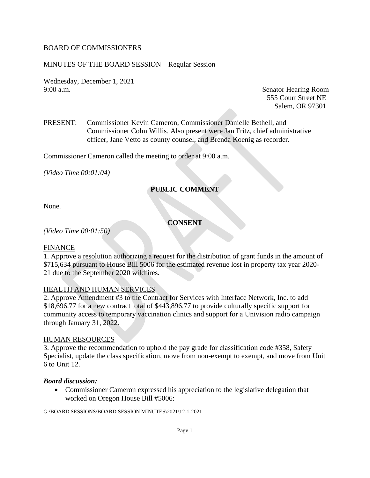#### BOARD OF COMMISSIONERS

#### MINUTES OF THE BOARD SESSION – Regular Session

Wednesday, December 1, 2021 9:00 a.m. Senator Hearing Room

555 Court Street NE Salem, OR 97301

PRESENT: Commissioner Kevin Cameron, Commissioner Danielle Bethell, and Commissioner Colm Willis. Also present were Jan Fritz, chief administrative officer, Jane Vetto as county counsel, and Brenda Koenig as recorder.

Commissioner Cameron called the meeting to order at 9:00 a.m.

*(Video Time 00:01:04)*

## **PUBLIC COMMENT**

None.

## **CONSENT**

*(Video Time 00:01:50)*

#### FINANCE

1. Approve a resolution authorizing a request for the distribution of grant funds in the amount of \$715,634 pursuant to House Bill 5006 for the estimated revenue lost in property tax year 2020- 21 due to the September 2020 wildfires.

#### HEALTH AND HUMAN SERVICES

2. Approve Amendment #3 to the Contract for Services with Interface Network, Inc. to add \$18,696.77 for a new contract total of \$443,896.77 to provide culturally specific support for community access to temporary vaccination clinics and support for a Univision radio campaign through January 31, 2022.

#### HUMAN RESOURCES

3. Approve the recommendation to uphold the pay grade for classification code #358, Safety Specialist, update the class specification, move from non-exempt to exempt, and move from Unit 6 to Unit 12.

#### *Board discussion:*

• Commissioner Cameron expressed his appreciation to the legislative delegation that worked on Oregon House Bill #5006: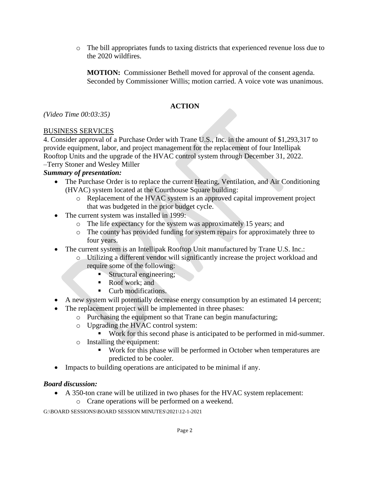o The bill appropriates funds to taxing districts that experienced revenue loss due to the 2020 wildfires.

**MOTION:** Commissioner Bethell moved for approval of the consent agenda. Seconded by Commissioner Willis; motion carried. A voice vote was unanimous.

## **ACTION**

*(Video Time 00:03:35)*

## BUSINESS SERVICES

4. Consider approval of a Purchase Order with Trane U.S., Inc. in the amount of \$1,293,317 to provide equipment, labor, and project management for the replacement of four Intellipak Rooftop Units and the upgrade of the HVAC control system through December 31, 2022. –Terry Stoner and Wesley Miller

## *Summary of presentation:*

- The Purchase Order is to replace the current Heating, Ventilation, and Air Conditioning (HVAC) system located at the Courthouse Square building:
	- o Replacement of the HVAC system is an approved capital improvement project that was budgeted in the prior budget cycle.
- The current system was installed in 1999:
	- o The life expectancy for the system was approximately 15 years; and
	- o The county has provided funding for system repairs for approximately three to four years.
- The current system is an Intellipak Rooftop Unit manufactured by Trane U.S. Inc.:
	- o Utilizing a different vendor will significantly increase the project workload and require some of the following:
		- **EXECUTE:** Structural engineering;
		- Roof work; and
		- Curb modifications.
- A new system will potentially decrease energy consumption by an estimated 14 percent;
- The replacement project will be implemented in three phases:
	- o Purchasing the equipment so that Trane can begin manufacturing;
	- o Upgrading the HVAC control system:
		- Work for this second phase is anticipated to be performed in mid-summer.
	- o Installing the equipment:
		- Work for this phase will be performed in October when temperatures are predicted to be cooler.
- Impacts to building operations are anticipated to be minimal if any.

## *Board discussion:*

- A 350-ton crane will be utilized in two phases for the HVAC system replacement:
	- o Crane operations will be performed on a weekend.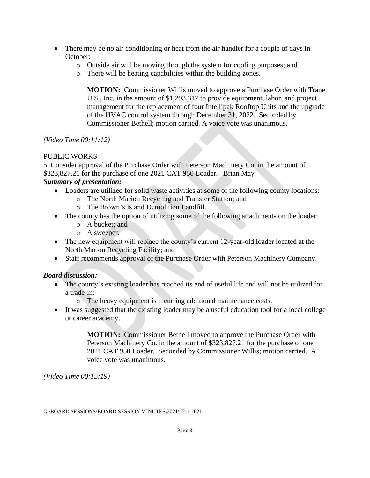- There may be no air conditioning or heat from the air handler for a couple of days in October:
	- o Outside air will be moving through the system for cooling purposes; and
	- o There will be heating capabilities within the building zones.

**MOTION:** Commissioner Willis moved to approve a Purchase Order with Trane U.S., Inc. in the amount of \$1,293,317 to provide equipment, labor, and project management for the replacement of four Intellipak Rooftop Units and the upgrade of the HVAC control system through December 31, 2022. Seconded by Commissioner Bethell; motion carried. A voice vote was unanimous.

*(Video Time 00:11:12)*

## PUBLIC WORKS

5. Consider approval of the Purchase Order with Peterson Machinery Co. in the amount of \$323,827.21 for the purchase of one 2021 CAT 950 Loader. –Brian May *Summary of presentation:* 

- Loaders are utilized for solid waste activities at some of the following county locations:
	- o The North Marion Recycling and Transfer Station; and
	- o The Brown's Island Demolition Landfill.
- The county has the option of utilizing some of the following attachments on the loader:
	- o A bucket; and
	- o A sweeper.
- The new equipment will replace the county's current 12-year-old loader located at the North Marion Recycling Facility; and
- Staff recommends approval of the Purchase Order with Peterson Machinery Company.

# *Board discussion:*

- The county's existing loader has reached its end of useful life and will not be utilized for a trade-in:
	- o The heavy equipment is incurring additional maintenance costs.
- It was suggested that the existing loader may be a useful education tool for a local college or career academy.

**MOTION:** Commissioner Bethell moved to approve the Purchase Order with Peterson Machinery Co. in the amount of \$323,827.21 for the purchase of one 2021 CAT 950 Loader. Seconded by Commissioner Willis; motion carried. A voice vote was unanimous.

*(Video Time 00:15:19)*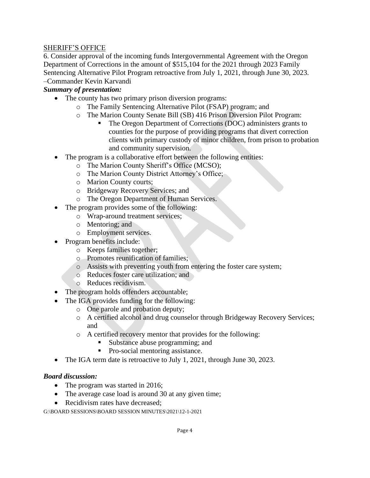#### SHERIFF'S OFFICE

6. Consider approval of the incoming funds Intergovernmental Agreement with the Oregon Department of Corrections in the amount of \$515,104 for the 2021 through 2023 Family Sentencing Alternative Pilot Program retroactive from July 1, 2021, through June 30, 2023. –Commander Kevin Karvandi

## *Summary of presentation:*

- The county has two primary prison diversion programs:
	- o The Family Sentencing Alternative Pilot (FSAP) program; and
	- o The Marion County Senate Bill (SB) 416 Prison Diversion Pilot Program:
		- The Oregon Department of Corrections (DOC) administers grants to counties for the purpose of providing programs that divert correction clients with primary custody of minor children, from prison to probation and community supervision.
- The program is a collaborative effort between the following entities:
	- o The Marion County Sheriff's Office (MCSO);
	- o The Marion County District Attorney's Office;
	- o Marion County courts;
	- o Bridgeway Recovery Services; and
	- o The Oregon Department of Human Services.
	- The program provides some of the following:
		- o Wrap-around treatment services;
			- o Mentoring; and
			- o Employment services.
- Program benefits include:
	- o Keeps families together;
	- o Promotes reunification of families;
	- o Assists with preventing youth from entering the foster care system;
	- o Reduces foster care utilization; and
	- o Reduces recidivism.
- The program holds offenders accountable;
- The IGA provides funding for the following:
	- o One parole and probation deputy;
	- o A certified alcohol and drug counselor through Bridgeway Recovery Services; and
	- o A certified recovery mentor that provides for the following:
		- Substance abuse programming; and
		- Pro-social mentoring assistance.
- The IGA term date is retroactive to July 1, 2021, through June 30, 2023.

#### *Board discussion:*

- The program was started in 2016;
- The average case load is around 30 at any given time;
- Recidivism rates have decreased: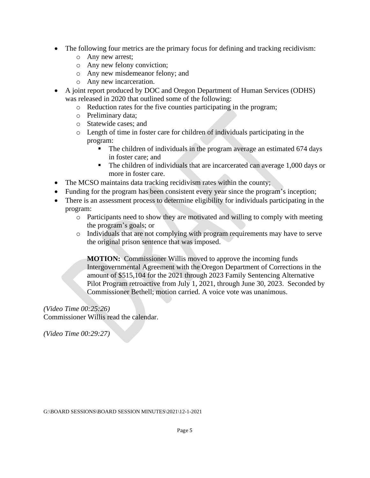- The following four metrics are the primary focus for defining and tracking recidivism:
	- o Any new arrest;
	- o Any new felony conviction;
	- o Any new misdemeanor felony; and
	- o Any new incarceration.
- A joint report produced by DOC and Oregon Department of Human Services (ODHS) was released in 2020 that outlined some of the following:
	- o Reduction rates for the five counties participating in the program;
	- o Preliminary data;
	- o Statewide cases; and
	- o Length of time in foster care for children of individuals participating in the program:
		- **•** The children of individuals in the program average an estimated 674 days in foster care; and
		- The children of individuals that are incarcerated can average 1,000 days or more in foster care.
- The MCSO maintains data tracking recidivism rates within the county;
- Funding for the program has been consistent every year since the program's inception;
- There is an assessment process to determine eligibility for individuals participating in the program:
	- o Participants need to show they are motivated and willing to comply with meeting the program's goals; or
	- o Individuals that are not complying with program requirements may have to serve the original prison sentence that was imposed.

**MOTION:** Commissioner Willis moved to approve the incoming funds Intergovernmental Agreement with the Oregon Department of Corrections in the amount of \$515,104 for the 2021 through 2023 Family Sentencing Alternative Pilot Program retroactive from July 1, 2021, through June 30, 2023. Seconded by Commissioner Bethell; motion carried. A voice vote was unanimous.

*(Video Time 00:25:26)* Commissioner Willis read the calendar.

*(Video Time 00:29:27)*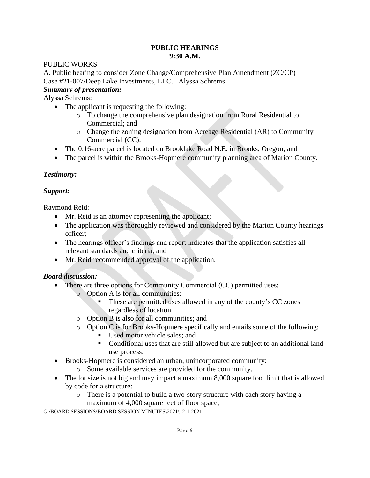#### **PUBLIC HEARINGS 9:30 A.M.**

## PUBLIC WORKS

A. Public hearing to consider Zone Change/Comprehensive Plan Amendment (ZC/CP) Case #21-007/Deep Lake Investments, LLC. –Alyssa Schrems *Summary of presentation:* 

Alyssa Schrems:

- The applicant is requesting the following:
	- o To change the comprehensive plan designation from Rural Residential to Commercial; and
	- o Change the zoning designation from Acreage Residential (AR) to Community Commercial (CC).
- The 0.16-acre parcel is located on Brooklake Road N.E. in Brooks, Oregon; and
- The parcel is within the Brooks-Hopmere community planning area of Marion County.

## *Testimony:*

## *Support:*

Raymond Reid:

- Mr. Reid is an attorney representing the applicant;
- The application was thoroughly reviewed and considered by the Marion County hearings officer;
- The hearings officer's findings and report indicates that the application satisfies all relevant standards and criteria; and
- Mr. Reid recommended approval of the application.

# *Board discussion:*

- There are three options for Community Commercial (CC) permitted uses:
	- o Option A is for all communities:
		- These are permitted uses allowed in any of the county's CC zones regardless of location.
	- o Option B is also for all communities; and
	- o Option C is for Brooks-Hopmere specifically and entails some of the following:
		- **■** Used motor vehicle sales; and
		- Conditional uses that are still allowed but are subject to an additional land use process.
- Brooks-Hopmere is considered an urban, unincorporated community:
	- o Some available services are provided for the community.
- The lot size is not big and may impact a maximum 8,000 square foot limit that is allowed by code for a structure:
	- o There is a potential to build a two-story structure with each story having a maximum of 4,000 square feet of floor space;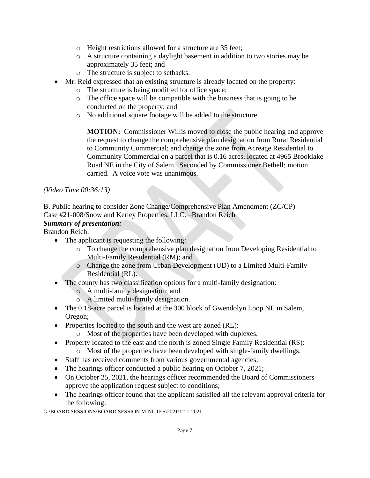- o Height restrictions allowed for a structure are 35 feet;
- o A structure containing a daylight basement in addition to two stories may be approximately 35 feet; and
- o The structure is subject to setbacks.
- Mr. Reid expressed that an existing structure is already located on the property:
	- o The structure is being modified for office space;
	- o The office space will be compatible with the business that is going to be conducted on the property; and
	- o No additional square footage will be added to the structure.

**MOTION:** Commissioner Willis moved to close the public hearing and approve the request to change the comprehensive plan designation from Rural Residential to Community Commercial; and change the zone from Acreage Residential to Community Commercial on a parcel that is 0.16 acres, located at 4965 Brooklake Road NE in the City of Salem. Seconded by Commissioner Bethell; motion carried. A voice vote was unanimous.

## *(Video Time 00:36:13)*

B. Public hearing to consider Zone Change/Comprehensive Plan Amendment (ZC/CP) Case #21-008/Snow and Kerley Properties, LLC. –Brandon Reich

## *Summary of presentation:*

Brandon Reich:

- The applicant is requesting the following:
	- o To change the comprehensive plan designation from Developing Residential to Multi-Family Residential (RM); and
	- o Change the zone from Urban Development (UD) to a Limited Multi-Family Residential (RL).
- The county has two classification options for a multi-family designation:
	- o A multi-family designation; and
	- o A limited multi-family designation.
- The 0.18-acre parcel is located at the 300 block of Gwendolyn Loop NE in Salem, Oregon;
- Properties located to the south and the west are zoned (RL):
	- o Most of the properties have been developed with duplexes.
- Property located to the east and the north is zoned Single Family Residential (RS):
	- o Most of the properties have been developed with single-family dwellings.
- Staff has received comments from various governmental agencies;
- The hearings officer conducted a public hearing on October 7, 2021;
- On October 25, 2021, the hearings officer recommended the Board of Commissioners approve the application request subject to conditions;
- The hearings officer found that the applicant satisfied all the relevant approval criteria for the following: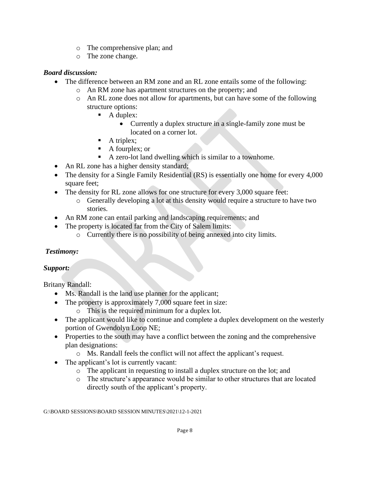- o The comprehensive plan; and
- o The zone change.

## *Board discussion:*

- The difference between an RM zone and an RL zone entails some of the following:
	- o An RM zone has apartment structures on the property; and
	- o An RL zone does not allow for apartments, but can have some of the following structure options:
		- A duplex:
			- Currently a duplex structure in a single-family zone must be located on a corner lot.
		- $\blacksquare$  A triplex;
		- A fourplex; or
		- A zero-lot land dwelling which is similar to a townhome.
- An RL zone has a higher density standard;
- The density for a Single Family Residential (RS) is essentially one home for every 4,000 square feet:
- The density for RL zone allows for one structure for every 3,000 square feet:
	- o Generally developing a lot at this density would require a structure to have two stories.
- An RM zone can entail parking and landscaping requirements; and
- The property is located far from the City of Salem limits:
	- o Currently there is no possibility of being annexed into city limits.

# *Testimony:*

# *Support:*

Britany Randall:

- Ms. Randall is the land use planner for the applicant;
- The property is approximately 7,000 square feet in size:
	- o This is the required minimum for a duplex lot.
- The applicant would like to continue and complete a duplex development on the westerly portion of Gwendolyn Loop NE;
- Properties to the south may have a conflict between the zoning and the comprehensive plan designations:
	- o Ms. Randall feels the conflict will not affect the applicant's request.
- The applicant's lot is currently vacant:
	- o The applicant in requesting to install a duplex structure on the lot; and
	- o The structure's appearance would be similar to other structures that are located directly south of the applicant's property.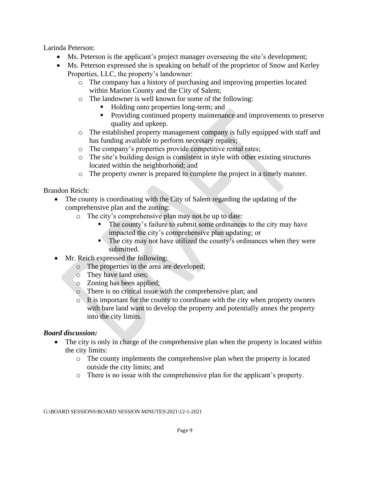Larinda Peterson:

- Ms. Peterson is the applicant's project manager overseeing the site's development;
- Ms. Peterson expressed she is speaking on behalf of the proprietor of Snow and Kerley Properties, LLC, the property's landowner:
	- o The company has a history of purchasing and improving properties located within Marion County and the City of Salem;
	- o The landowner is well known for some of the following:
		- Holding onto properties long-term; and
		- **•** Providing continued property maintenance and improvements to preserve quality and upkeep.
	- o The established property management company is fully equipped with staff and has funding available to perform necessary repairs;
	- o The company's properties provide competitive rental rates;
	- $\circ$  The site's building design is consistent in style with other existing structures located within the neighborhood; and
	- o The property owner is prepared to complete the project in a timely manner.

Brandon Reich:

- The county is coordinating with the City of Salem regarding the updating of the comprehensive plan and the zoning:
	- o The city's comprehensive plan may not be up to date:
		- The county's failure to submit some ordinances to the city may have impacted the city's comprehensive plan updating; or
		- $\blacksquare$  The city may not have utilized the county's ordinances when they were submitted.
- Mr. Reich expressed the following:
	- o The properties in the area are developed;
	- o They have land uses;
	- o Zoning has been applied;
	- o There is no critical issue with the comprehensive plan; and
	- $\circ$  It is important for the county to coordinate with the city when property owners with bare land want to develop the property and potentially annex the property into the city limits.

## *Board discussion:*

- The city is only in charge of the comprehensive plan when the property is located within the city limits:
	- o The county implements the comprehensive plan when the property is located outside the city limits; and
	- o There is no issue with the comprehensive plan for the applicant's property.